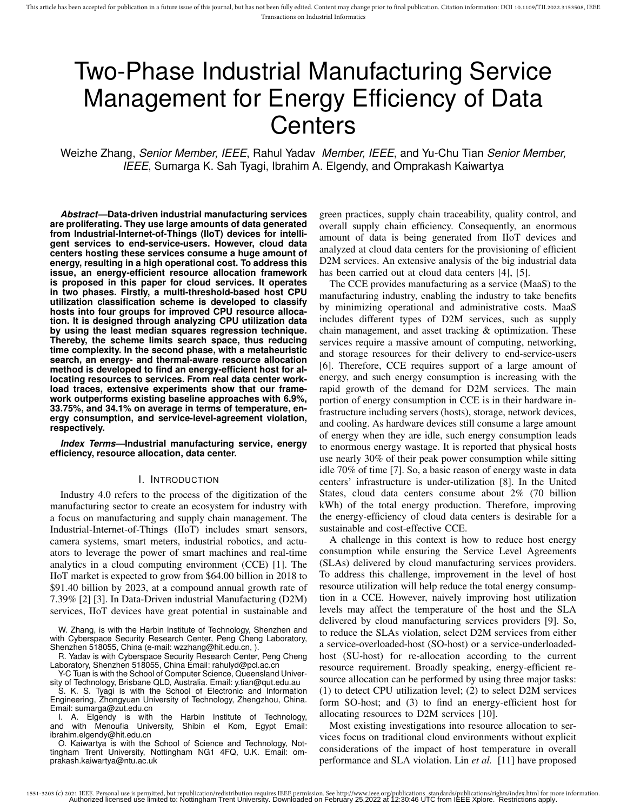# Two-Phase Industrial Manufacturing Service Management for Energy Efficiency of Data **Centers**

Weizhe Zhang, *Senior Member, IEEE*, Rahul Yadav *Member, IEEE*, and Yu-Chu Tian *Senior Member, IEEE*, Sumarga K. Sah Tyagi, Ibrahim A. Elgendy, and Omprakash Kaiwartya

*Abstract***—Data-driven industrial manufacturing services are proliferating. They use large amounts of data generated from Industrial-Internet-of-Things (IIoT) devices for intelligent services to end-service-users. However, cloud data centers hosting these services consume a huge amount of energy, resulting in a high operational cost. To address this issue, an energy-efficient resource allocation framework is proposed in this paper for cloud services. It operates in two phases. Firstly, a multi-threshold-based host CPU utilization classification scheme is developed to classify hosts into four groups for improved CPU resource allocation. It is designed through analyzing CPU utilization data by using the least median squares regression technique. Thereby, the scheme limits search space, thus reducing time complexity. In the second phase, with a metaheuristic search, an energy- and thermal-aware resource allocation method is developed to find an energy-efficient host for allocating resources to services. From real data center workload traces, extensive experiments show that our framework outperforms existing baseline approaches with 6.9%, 33.75%, and 34.1% on average in terms of temperature, energy consumption, and service-level-agreement violation, respectively.**

*Index Terms***—Industrial manufacturing service, energy efficiency, resource allocation, data center.**

#### I. INTRODUCTION

Industry 4.0 refers to the process of the digitization of the manufacturing sector to create an ecosystem for industry with a focus on manufacturing and supply chain management. The Industrial-Internet-of-Things (IIoT) includes smart sensors, camera systems, smart meters, industrial robotics, and actuators to leverage the power of smart machines and real-time analytics in a cloud computing environment (CCE) [1]. The IIoT market is expected to grow from \$64.00 billion in 2018 to \$91.40 billion by 2023, at a compound annual growth rate of 7.39% [2] [3]. In Data-Driven industrial Manufacturing (D2M) services, IIoT devices have great potential in sustainable and

W. Zhang, is with the Harbin Institute of Technology, Shenzhen and with Cyberspace Security Research Center, Peng Cheng Laboratory, Shenzhen 518055, China (e-mail: wzzhang@hit.edu.cn, ).

R. Yadav is with Cyberspace Security Research Center, Peng Cheng Laboratory, Shenzhen 518055, China Email: rahulyd@pcl.ac.cn

Y-C Tuan is with the School of Computer Science, Queensland University of Technology, Brisbane QLD, Australia. Email: y.tian@qut.edu.au

S. K. S. Tyagi is with the School of Electronic and Information Engineering, Zhongyuan University of Technology, Zhengzhou, China. Email: sumarga@zut.edu.cn

I. A. Elgendy is with the Harbin Institute of Technology, and with Menoufia University, Shibin el Kom, Egypt Email: Shibin el Kom, Egypt Email: ibrahim.elgendy@hit.edu.cn

O. Kaiwartya is with the School of Science and Technology, Nottingham Trent University, Nottingham NG1 4FQ, U.K. Email: omprakash.kaiwartya@ntu.ac.uk

green practices, supply chain traceability, quality control, and overall supply chain efficiency. Consequently, an enormous amount of data is being generated from IIoT devices and analyzed at cloud data centers for the provisioning of efficient D<sub>2</sub>M services. An extensive analysis of the big industrial data has been carried out at cloud data centers [4], [5].

The CCE provides manufacturing as a service (MaaS) to the manufacturing industry, enabling the industry to take benefits by minimizing operational and administrative costs. MaaS includes different types of D2M services, such as supply chain management, and asset tracking & optimization. These services require a massive amount of computing, networking, and storage resources for their delivery to end-service-users [6]. Therefore, CCE requires support of a large amount of energy, and such energy consumption is increasing with the rapid growth of the demand for D2M services. The main portion of energy consumption in CCE is in their hardware infrastructure including servers (hosts), storage, network devices, and cooling. As hardware devices still consume a large amount of energy when they are idle, such energy consumption leads to enormous energy wastage. It is reported that physical hosts use nearly 30% of their peak power consumption while sitting idle 70% of time [7]. So, a basic reason of energy waste in data centers' infrastructure is under-utilization [8]. In the United States, cloud data centers consume about 2% (70 billion kWh) of the total energy production. Therefore, improving the energy-efficiency of cloud data centers is desirable for a sustainable and cost-effective CCE.

A challenge in this context is how to reduce host energy consumption while ensuring the Service Level Agreements (SLAs) delivered by cloud manufacturing services providers. To address this challenge, improvement in the level of host resource utilization will help reduce the total energy consumption in a CCE. However, naively improving host utilization levels may affect the temperature of the host and the SLA delivered by cloud manufacturing services providers [9]. So, to reduce the SLAs violation, select D2M services from either a service-overloaded-host (SO-host) or a service-underloadedhost (SU-host) for re-allocation according to the current resource requirement. Broadly speaking, energy-efficient resource allocation can be performed by using three major tasks: (1) to detect CPU utilization level; (2) to select D2M services form SO-host; and (3) to find an energy-efficient host for allocating resources to D2M services [10].

Most existing investigations into resource allocation to services focus on traditional cloud environments without explicit considerations of the impact of host temperature in overall performance and SLA violation. Lin *et al.* [11] have proposed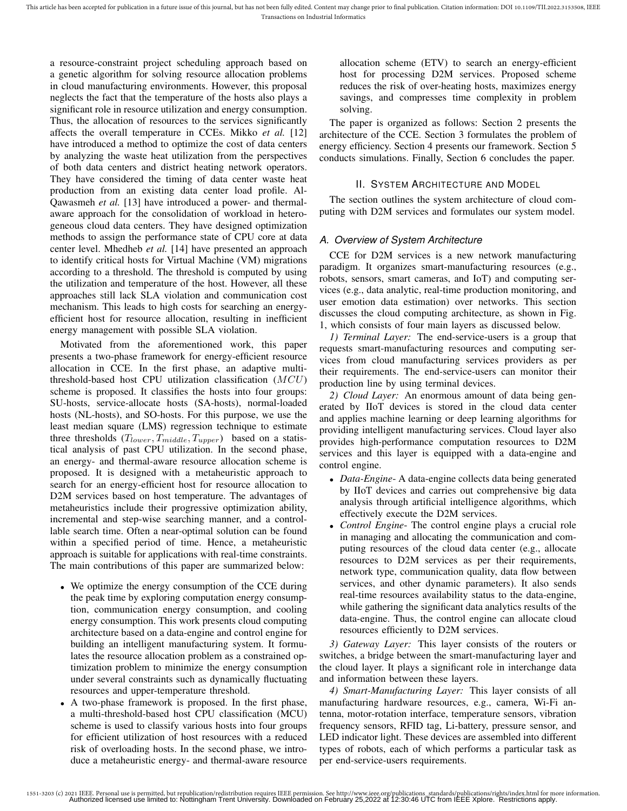a resource-constraint project scheduling approach based on a genetic algorithm for solving resource allocation problems in cloud manufacturing environments. However, this proposal neglects the fact that the temperature of the hosts also plays a significant role in resource utilization and energy consumption. Thus, the allocation of resources to the services significantly affects the overall temperature in CCEs. Mikko *et al.* [12] have introduced a method to optimize the cost of data centers by analyzing the waste heat utilization from the perspectives of both data centers and district heating network operators. They have considered the timing of data center waste heat production from an existing data center load profile. Al-Qawasmeh *et al.* [13] have introduced a power- and thermalaware approach for the consolidation of workload in heterogeneous cloud data centers. They have designed optimization methods to assign the performance state of CPU core at data center level. Mhedheb *et al.* [14] have presented an approach to identify critical hosts for Virtual Machine (VM) migrations according to a threshold. The threshold is computed by using the utilization and temperature of the host. However, all these approaches still lack SLA violation and communication cost mechanism. This leads to high costs for searching an energyefficient host for resource allocation, resulting in inefficient energy management with possible SLA violation.

Motivated from the aforementioned work, this paper presents a two-phase framework for energy-efficient resource allocation in CCE. In the first phase, an adaptive multithreshold-based host CPU utilization classification  $(MCU)$ scheme is proposed. It classifies the hosts into four groups: SU-hosts, service-allocate hosts (SA-hosts), normal-loaded hosts (NL-hosts), and SO-hosts. For this purpose, we use the least median square (LMS) regression technique to estimate three thresholds  $(T_{lower}, T_{middle}, T_{upper})$  based on a statistical analysis of past CPU utilization. In the second phase, an energy- and thermal-aware resource allocation scheme is proposed. It is designed with a metaheuristic approach to search for an energy-efficient host for resource allocation to D2M services based on host temperature. The advantages of metaheuristics include their progressive optimization ability, incremental and step-wise searching manner, and a controllable search time. Often a near-optimal solution can be found within a specified period of time. Hence, a metaheuristic approach is suitable for applications with real-time constraints. The main contributions of this paper are summarized below:

- We optimize the energy consumption of the CCE during the peak time by exploring computation energy consumption, communication energy consumption, and cooling energy consumption. This work presents cloud computing architecture based on a data-engine and control engine for building an intelligent manufacturing system. It formulates the resource allocation problem as a constrained optimization problem to minimize the energy consumption under several constraints such as dynamically fluctuating resources and upper-temperature threshold.
- A two-phase framework is proposed. In the first phase, a multi-threshold-based host CPU classification (MCU) scheme is used to classify various hosts into four groups for efficient utilization of host resources with a reduced risk of overloading hosts. In the second phase, we introduce a metaheuristic energy- and thermal-aware resource

allocation scheme (ETV) to search an energy-efficient host for processing D2M services. Proposed scheme reduces the risk of over-heating hosts, maximizes energy savings, and compresses time complexity in problem solving.

The paper is organized as follows: Section 2 presents the architecture of the CCE. Section 3 formulates the problem of energy efficiency. Section 4 presents our framework. Section 5 conducts simulations. Finally, Section 6 concludes the paper.

# II. SYSTEM ARCHITECTURE AND MODEL

The section outlines the system architecture of cloud computing with D2M services and formulates our system model.

# *A. Overview of System Architecture*

CCE for D2M services is a new network manufacturing paradigm. It organizes smart-manufacturing resources (e.g., robots, sensors, smart cameras, and IoT) and computing services (e.g., data analytic, real-time production monitoring, and user emotion data estimation) over networks. This section discusses the cloud computing architecture, as shown in Fig. 1, which consists of four main layers as discussed below.

*1) Terminal Layer:* The end-service-users is a group that requests smart-manufacturing resources and computing services from cloud manufacturing services providers as per their requirements. The end-service-users can monitor their production line by using terminal devices.

*2) Cloud Layer:* An enormous amount of data being generated by IIoT devices is stored in the cloud data center and applies machine learning or deep learning algorithms for providing intelligent manufacturing services. Cloud layer also provides high-performance computation resources to D2M services and this layer is equipped with a data-engine and control engine.

- *Data-Engine* A data-engine collects data being generated by IIoT devices and carries out comprehensive big data analysis through artificial intelligence algorithms, which effectively execute the D2M services.
- *Control Engine* The control engine plays a crucial role in managing and allocating the communication and computing resources of the cloud data center (e.g., allocate resources to D2M services as per their requirements, network type, communication quality, data flow between services, and other dynamic parameters). It also sends real-time resources availability status to the data-engine, while gathering the significant data analytics results of the data-engine. Thus, the control engine can allocate cloud resources efficiently to D2M services.

*3) Gateway Layer:* This layer consists of the routers or switches, a bridge between the smart-manufacturing layer and the cloud layer. It plays a significant role in interchange data and information between these layers.

*4) Smart-Manufacturing Layer:* This layer consists of all manufacturing hardware resources, e.g., camera, Wi-Fi antenna, motor-rotation interface, temperature sensors, vibration frequency sensors, RFID tag, Li-battery, pressure sensor, and LED indicator light. These devices are assembled into different types of robots, each of which performs a particular task as per end-service-users requirements.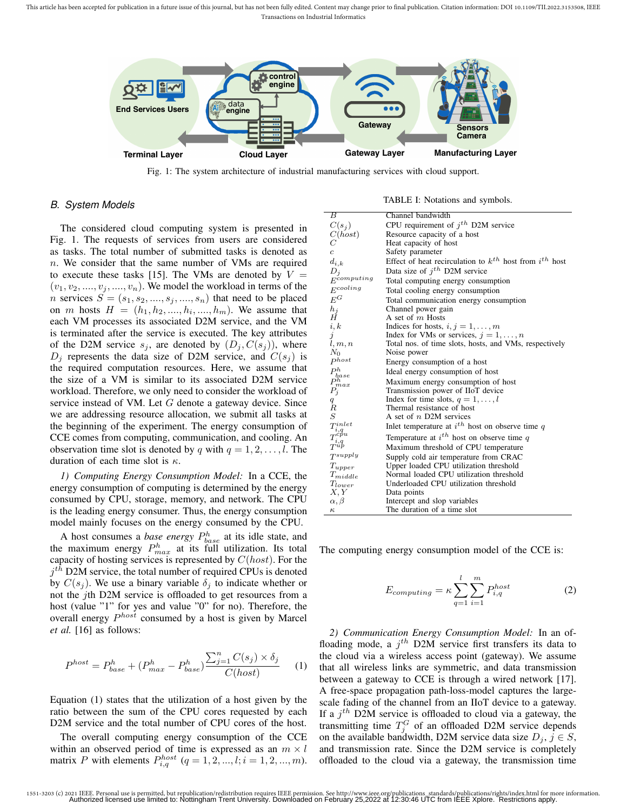This article has been accepted for publication in a future issue of this journal, but has not been fully edited. Content may change prior to final publication. Citation information: DOI 10.1109/TII.2022.3153508, IEEE Transactions on Industrial Informatics



Fig. 1: The system architecture of industrial manufacturing services with cloud support.

# *B. System Models*

The considered cloud computing system is presented in Fig. 1. The requests of services from users are considered as tasks. The total number of submitted tasks is denoted as n. We consider that the same number of VMs are required to execute these tasks [15]. The VMs are denoted by  $V =$  $(v_1, v_2, \ldots, v_j, \ldots, v_n)$ . We model the workload in terms of the *n* services  $S = (s_1, s_2, \ldots, s_j, \ldots, s_n)$  that need to be placed on *m* hosts  $H = (h_1, h_2, ..., h_i, ..., h_m)$ . We assume that each VM processes its associated D2M service, and the VM is terminated after the service is executed. The key attributes of the D2M service  $s_i$ , are denoted by  $(D_i, C(s_i))$ , where  $D_i$  represents the data size of D2M service, and  $C(s_i)$  is the required computation resources. Here, we assume that the size of a VM is similar to its associated D2M service workload. Therefore, we only need to consider the workload of service instead of VM. Let G denote a gateway device. Since we are addressing resource allocation, we submit all tasks at the beginning of the experiment. The energy consumption of CCE comes from computing, communication, and cooling. An observation time slot is denoted by q with  $q = 1, 2, \ldots, l$ . The duration of each time slot is  $\kappa$ .

*1) Computing Energy Consumption Model:* In a CCE, the energy consumption of computing is determined by the energy consumed by CPU, storage, memory, and network. The CPU is the leading energy consumer. Thus, the energy consumption model mainly focuses on the energy consumed by the CPU.

A host consumes a *base energy*  $P_{base}^h$  at its idle state, and the maximum energy  $P_{max}^h$  at its full utilization. Its total capacity of hosting services is represented by  $C(host)$ . For the  $j<sup>th</sup>$  D2M service, the total number of required CPUs is denoted by  $C(s_j)$ . We use a binary variable  $\delta_j$  to indicate whether or not the jth D2M service is offloaded to get resources from a host (value "1" for yes and value "0" for no). Therefore, the overall energy  $P^{host}$  consumed by a host is given by Marcel *et al.* [16] as follows:

$$
P^{host} = P_{base}^h + (P_{max}^h - P_{base}^h) \frac{\sum_{j=1}^n C(s_j) \times \delta_j}{C(host)}
$$
 (1)

Equation (1) states that the utilization of a host given by the ratio between the sum of the CPU cores requested by each D2M service and the total number of CPU cores of the host.

The overall computing energy consumption of the CCE within an observed period of time is expressed as an  $m \times l$ matrix P with elements  $P_{i,q}^{host}$   $(q = 1, 2, ..., l; i = 1, 2, ..., m)$ .

TABLE I: Notations and symbols.

| B                                                                        | Channel bandwidth                                                |
|--------------------------------------------------------------------------|------------------------------------------------------------------|
| $C(s_i)$                                                                 | CPU requirement of $i^{th}$ D2M service                          |
| C(host)                                                                  | Resource capacity of a host                                      |
| C                                                                        | Heat capacity of host                                            |
| c                                                                        | Safety parameter                                                 |
| $d_{i,k}$                                                                | Effect of heat recirculation to $k^{th}$ host from $i^{th}$ host |
| $D_j$                                                                    | Data size of $j^{th}$ D2M service                                |
| $E^{computing}$                                                          | Total computing energy consumption                               |
| $E^{cooling}$                                                            | Total cooling energy consumption                                 |
| $E^G$                                                                    | Total communication energy consumption                           |
| $\overset{h_j}{H}$                                                       | Channel power gain                                               |
|                                                                          | A set of m Hosts                                                 |
| i, k                                                                     | Indices for hosts, $i, j = 1, \ldots, m$                         |
| j                                                                        | Index for VMs or services, $j = 1, \ldots, n$                    |
| l, m, n                                                                  | Total nos. of time slots, hosts, and VMs, respectively           |
| $N_0$                                                                    | Noise power                                                      |
| $^{phost}$                                                               | Energy consumption of a host                                     |
| $\begin{array}{l} P^h_{base} \ P^h_{max} \ P^h_j \end{array}$            | Ideal energy consumption of host                                 |
|                                                                          | Maximum energy consumption of host                               |
|                                                                          | Transmission power of IIoT device                                |
| q                                                                        | Index for time slots, $q = 1, \ldots, l$                         |
| $\boldsymbol{R}$                                                         | Thermal resistance of host                                       |
| $\cal S$                                                                 | A set of $n$ D2M services                                        |
| $\tilde{T}_{i,q}^{inlet} \ \tilde{T}_{i,q}^{cpu} \ \tilde{T}_{u,p}^{up}$ | Inlet temperature at $i^{th}$ host on observe time q             |
|                                                                          | Temperature at $i^{th}$ host on observe time q                   |
|                                                                          | Maximum threshold of CPU temperature                             |
| $T^{supply}$                                                             | Supply cold air temperature from CRAC                            |
| ${\cal T}_{upper}$                                                       | Upper loaded CPU utilization threshold                           |
| $\mathcal{T}_{middle}$                                                   | Normal loaded CPU utilization threshold                          |
| $T_{lower}$                                                              | Underloaded CPU utilization threshold                            |
| X, Y                                                                     | Data points                                                      |
| $\alpha, \beta$                                                          | Intercept and slop variables                                     |
| $\kappa$                                                                 | The duration of a time slot                                      |

The computing energy consumption model of the CCE is:

$$
E_{computing} = \kappa \sum_{q=1}^{l} \sum_{i=1}^{m} P_{i,q}^{host}
$$
 (2)

*2) Communication Energy Consumption Model:* In an offloading mode, a  $j<sup>th</sup>$  D2M service first transfers its data to the cloud via a wireless access point (gateway). We assume that all wireless links are symmetric, and data transmission between a gateway to CCE is through a wired network [17]. A free-space propagation path-loss-model captures the largescale fading of the channel from an IIoT device to a gateway. If a  $j<sup>th</sup>$  D2M service is offloaded to cloud via a gateway, the transmitting time  $T_j^G$  of an offloaded D2M service depends on the available bandwidth, D2M service data size  $D_i$ ,  $j \in S$ , and transmission rate. Since the D2M service is completely offloaded to the cloud via a gateway, the transmission time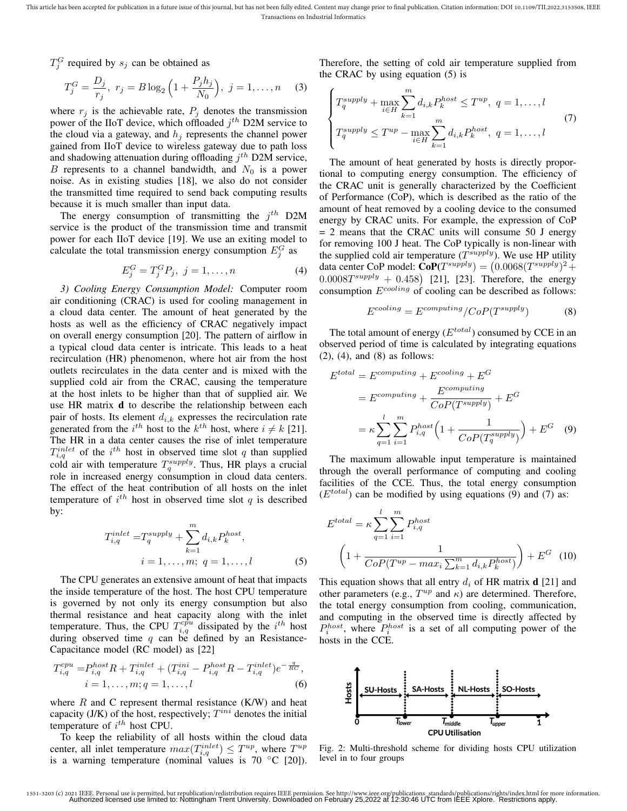$T_j^G$  required by  $s_j$  can be obtained as

$$
T_j^G = \frac{D_j}{r_j}, \ r_j = B \log_2 \left( 1 + \frac{P_j h_j}{N_0} \right), \ j = 1, \dots, n \quad (3)
$$

where  $r_j$  is the achievable rate,  $P_j$  denotes the transmission power of the IIoT device, which offloaded  $j^{th}$  D2M service to the cloud via a gateway, and  $h_i$  represents the channel power gained from IIoT device to wireless gateway due to path loss and shadowing attenuation during offloading  $j^{th}$  D2M service, B represents to a channel bandwidth, and  $N_0$  is a power noise. As in existing studies [18], we also do not consider the transmitted time required to send back computing results because it is much smaller than input data.

The energy consumption of transmitting the  $j^{th}$  D2M service is the product of the transmission time and transmit power for each IIoT device [19]. We use an exiting model to calculate the total transmission energy consumption  $E_j^G$  as

$$
E_j^G = T_j^G P_j, \ j = 1, \dots, n \tag{4}
$$

*3) Cooling Energy Consumption Model:* Computer room air conditioning (CRAC) is used for cooling management in a cloud data center. The amount of heat generated by the hosts as well as the efficiency of CRAC negatively impact on overall energy consumption [20]. The pattern of airflow in a typical cloud data center is intricate. This leads to a heat recirculation (HR) phenomenon, where hot air from the host outlets recirculates in the data center and is mixed with the supplied cold air from the CRAC, causing the temperature at the host inlets to be higher than that of supplied air. We use HR matrix d to describe the relationship between each pair of hosts. Its element  $d_{i,k}$  expresses the recirculation rate generated from the  $i^{th}$  host to the  $k^{th}$  host, where  $i \neq k$  [21]. The HR in a data center causes the rise of inlet temperature  $T_{i,q}^{inlet}$  of the  $i^{th}$  host in observed time slot q than supplied cold air with temperature  $T_q^{supply}$ . Thus, HR plays a crucial role in increased energy consumption in cloud data centers. The effect of the heat contribution of all hosts on the inlet temperature of  $i^{th}$  host in observed time slot q is described by:

$$
T_{i,q}^{inlet} = T_q^{supply} + \sum_{k=1}^{m} d_{i,k} P_k^{host},
$$
  

$$
i = 1, \dots, m; \ q = 1, \dots, l
$$
 (5)

The CPU generates an extensive amount of heat that impacts the inside temperature of the host. The host CPU temperature is governed by not only its energy consumption but also thermal resistance and heat capacity along with the inlet temperature. Thus, the CPU  $T_{i,q}^{cpu}$  dissipated by the  $i^{th}$  host during observed time  $q$  can be defined by an Resistance-Capacitance model (RC model) as [22]

$$
T_{i,q}^{cpu} = P_{i,q}^{host} R + T_{i,q}^{inlet} + (T_{i,q}^{ini} - P_{i,q}^{host} R - T_{i,q}^{inlet})e^{-\frac{q}{RC}},
$$
  
\n
$$
i = 1, \dots, m; q = 1, \dots, l
$$
 (6)

where  $R$  and  $C$  represent thermal resistance  $(K/W)$  and heat capacity (J/K) of the host, respectively;  $T^{ini}$  denotes the initial temperature of  $i^{th}$  host CPU.

To keep the reliability of all hosts within the cloud data center, all inlet temperature  $max(T_{i,q}^{inlet}) \leq T^{up}$ , where  $T^{up}$ is a warning temperature (nominal values is  $70\ ^{\circ}$ C [20]). Therefore, the setting of cold air temperature supplied from the CRAC by using equation (5) is

$$
\begin{cases}\nT_q^{supply} + \max_{i \in H} \sum_{k=1}^m d_{i,k} P_k^{host} \le T^{up}, \ q = 1, \dots, l \\
T_q^{supply} \le T^{up} - \max_{i \in H} \sum_{k=1}^m d_{i,k} P_k^{host}, \ q = 1, \dots, l\n\end{cases} (7)
$$

The amount of heat generated by hosts is directly proportional to computing energy consumption. The efficiency of the CRAC unit is generally characterized by the Coefficient of Performance (CoP), which is described as the ratio of the amount of heat removed by a cooling device to the consumed energy by CRAC units. For example, the expression of CoP = 2 means that the CRAC units will consume 50 J energy for removing 100 J heat. The CoP typically is non-linear with the supplied cold air temperature  $(T^{supply})$ . We use HP utility data center CoP model:  $\text{CoP}(T^{supply}) = (0.0068(T^{supply})^2 +$  $0.0008T^{supply} + 0.458$  [21], [23]. Therefore, the energy consumption  $E^{cooling}$  of cooling can be described as follows:

$$
E^{cooling} = E^{computing} / CoP(T^{supply})
$$
 (8)

The total amount of energy  $(E^{total})$  consumed by CCE in an observed period of time is calculated by integrating equations (2), (4), and (8) as follows:

$$
Etotal = Ecomputing + Ecooling + EG
$$
  
= 
$$
Ecomputing + \frac{Ecomputing}{CoP(Tsupply)} + EG
$$
  
= 
$$
\kappa \sum_{q=1}^{l} \sum_{i=1}^{m} P_{i,q}^{host} \left( 1 + \frac{1}{CoP(Tsupply)} \right) + EG
$$
 (9)

The maximum allowable input temperature is maintained through the overall performance of computing and cooling facilities of the CCE. Thus, the total energy consumption  $(E<sup>total</sup>)$  can be modified by using equations (9) and (7) as:

$$
E^{total} = \kappa \sum_{q=1}^{l} \sum_{i=1}^{m} P_{i,q}^{host}
$$

$$
\left(1 + \frac{1}{CoP(T^{up} - max_i \sum_{k=1}^{m} d_{i,k} P_k^{host})}\right) + E^G \quad (10)
$$

This equation shows that all entry  $d_i$  of HR matrix **d** [21] and other parameters (e.g.,  $T^{up}$  and  $\kappa$ ) are determined. Therefore, the total energy consumption from cooling, communication, and computing in the observed time is directly affected by  $P_i^{host}$ , where  $P_i^{host}$  is a set of all computing power of the hosts in the CCE.



Fig. 2: Multi-threshold scheme for dividing hosts CPU utilization level in to four groups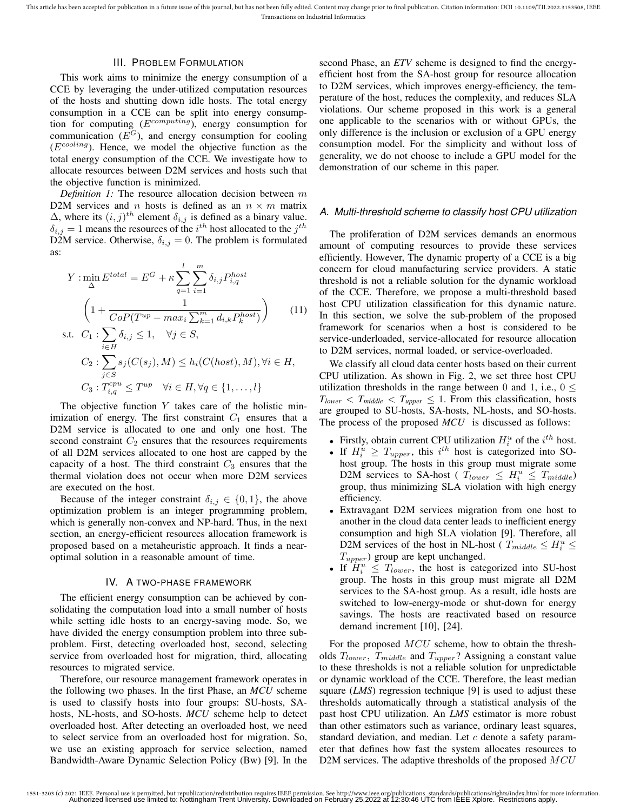This article has been accepted for publication in a future issue of this journal, but has not been fully edited. Content may change prior to final publication. Citation information: DOI 10.1109/TII.2022.3153508, IEEE Transactions on Industrial Informatics

# III. PROBLEM FORMULATION

This work aims to minimize the energy consumption of a CCE by leveraging the under-utilized computation resources of the hosts and shutting down idle hosts. The total energy consumption in a CCE can be split into energy consumption for computing  $(E^{computing})$ , energy consumption for communication  $(E^G)$ , and energy consumption for cooling  $(E^{cooling})$ . Hence, we model the objective function as the total energy consumption of the CCE. We investigate how to allocate resources between D2M services and hosts such that the objective function is minimized.

*Definition 1:* The resource allocation decision between m D2M services and n hosts is defined as an  $n \times m$  matrix  $\Delta$ , where its  $(i, j)^{th}$  element  $\delta_{i,j}$  is defined as a binary value.  $\delta_{i,j} = 1$  means the resources of the  $i^{th}$  host allocated to the  $j^{th}$ D2M service. Otherwise,  $\delta_{i,j} = 0$ . The problem is formulated as:

$$
Y: \min_{\Delta} E^{total} = E^G + \kappa \sum_{q=1}^{l} \sum_{i=1}^{m} \delta_{i,j} P_{i,q}^{host}
$$

$$
\left(1 + \frac{1}{CoP(T^{up} - max_i \sum_{k=1}^{m} d_{i,k} P_k^{host})}\right) \qquad (11)
$$
s.t.  $C_1: \sum \delta_{i,j} \le 1, \quad \forall j \in S,$ 

s.t. 
$$
C_1 : \sum_{i \in H} o_{i,j} \le 1
$$
,  $\forall j \in S$ ,  
\n
$$
C_2 : \sum_{j \in S} s_j(C(s_j), M) \le h_i(C(host), M), \forall i \in H,
$$
\n
$$
C_3 : T_{i,q}^{cpu} \le T^{up} \quad \forall i \in H, \forall q \in \{1, ..., l\}
$$

The objective function  $Y$  takes care of the holistic minimization of energy. The first constraint  $C_1$  ensures that a D<sub>2</sub>M service is allocated to one and only one host. The second constraint  $C_2$  ensures that the resources requirements of all D2M services allocated to one host are capped by the capacity of a host. The third constraint  $C_3$  ensures that the thermal violation does not occur when more D2M services are executed on the host.

Because of the integer constraint  $\delta_{i,j} \in \{0,1\}$ , the above optimization problem is an integer programming problem, which is generally non-convex and NP-hard. Thus, in the next section, an energy-efficient resources allocation framework is proposed based on a metaheuristic approach. It finds a nearoptimal solution in a reasonable amount of time.

#### IV. A TWO-PHASE FRAMEWORK

The efficient energy consumption can be achieved by consolidating the computation load into a small number of hosts while setting idle hosts to an energy-saving mode. So, we have divided the energy consumption problem into three subproblem. First, detecting overloaded host, second, selecting service from overloaded host for migration, third, allocating resources to migrated service.

Therefore, our resource management framework operates in the following two phases. In the first Phase, an *MCU* scheme is used to classify hosts into four groups: SU-hosts, SAhosts, NL-hosts, and SO-hosts. *MCU* scheme help to detect overloaded host. After detecting an overloaded host, we need to select service from an overloaded host for migration. So, we use an existing approach for service selection, named Bandwidth-Aware Dynamic Selection Policy (Bw) [9]. In the

second Phase, an *ETV* scheme is designed to find the energyefficient host from the SA-host group for resource allocation to D2M services, which improves energy-efficiency, the temperature of the host, reduces the complexity, and reduces SLA violations. Our scheme proposed in this work is a general one applicable to the scenarios with or without GPUs, the only difference is the inclusion or exclusion of a GPU energy consumption model. For the simplicity and without loss of generality, we do not choose to include a GPU model for the demonstration of our scheme in this paper.

#### *A. Multi-threshold scheme to classify host CPU utilization*

The proliferation of D2M services demands an enormous amount of computing resources to provide these services efficiently. However, The dynamic property of a CCE is a big concern for cloud manufacturing service providers. A static threshold is not a reliable solution for the dynamic workload of the CCE. Therefore, we propose a multi-threshold based host CPU utilization classification for this dynamic nature. In this section, we solve the sub-problem of the proposed framework for scenarios when a host is considered to be service-underloaded, service-allocated for resource allocation to D2M services, normal loaded, or service-overloaded.

We classify all cloud data center hosts based on their current CPU utilization. As shown in Fig. 2, we set three host CPU utilization thresholds in the range between 0 and 1, i.e.,  $0 \le$  $T_{lower} < T_{middle} < T_{upper} \leq 1$ . From this classification, hosts are grouped to SU-hosts, SA-hosts, NL-hosts, and SO-hosts. The process of the proposed *MCU* is discussed as follows:

- Firstly, obtain current CPU utilization  $H_i^u$  of the  $i^{th}$  host.
- If  $H_i^u \geq T_{upper}$ , this  $i^{th}$  host is categorized into SOhost group. The hosts in this group must migrate some D2M services to SA-host ( $T_{lower} \leq H_i^u \leq T_{middle}$ ) group, thus minimizing SLA violation with high energy efficiency.
- Extravagant D2M services migration from one host to another in the cloud data center leads to inefficient energy consumption and high SLA violation [9]. Therefore, all D2M services of the host in NL-host ( $T_{middle} \leq H_i^u \leq$  $T_{upper}$ ) group are kept unchanged.
- If  $H_i^u \leq T_{lower}$ , the host is categorized into SU-host group. The hosts in this group must migrate all D2M services to the SA-host group. As a result, idle hosts are switched to low-energy-mode or shut-down for energy savings. The hosts are reactivated based on resource demand increment [10], [24].

For the proposed MCU scheme, how to obtain the thresholds  $T_{lower}$ ,  $T_{middle}$  and  $T_{upper}$ ? Assigning a constant value to these thresholds is not a reliable solution for unpredictable or dynamic workload of the CCE. Therefore, the least median square (*LMS*) regression technique [9] is used to adjust these thresholds automatically through a statistical analysis of the past host CPU utilization. An *LMS* estimator is more robust than other estimators such as variance, ordinary least squares, standard deviation, and median. Let  $c$  denote a safety parameter that defines how fast the system allocates resources to D2M services. The adaptive thresholds of the proposed  $MCU$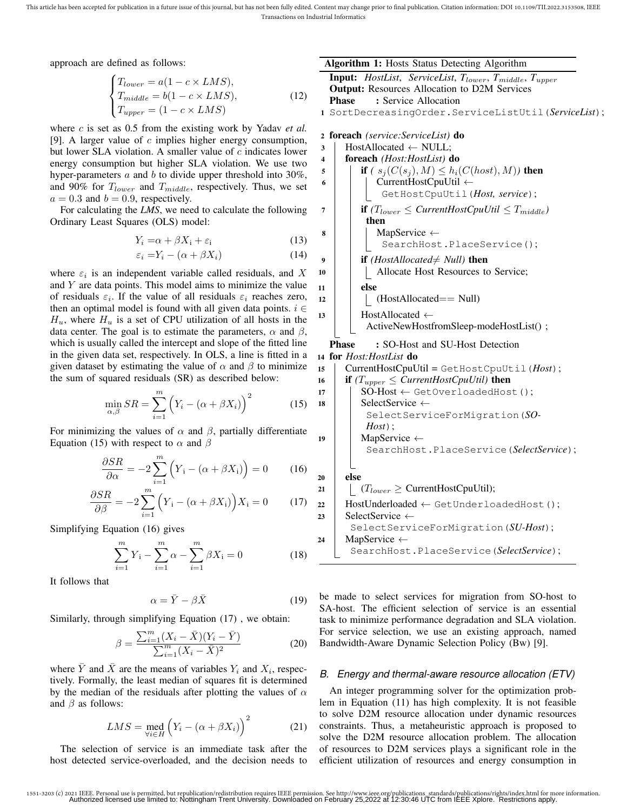This article has been accepted for publication in a future issue of this journal, but has not been fully edited. Content may change prior to final publication. Citation information: DOI 10.1109/TII.2022.3153508, IEEE Transactions on Industrial Informatics

approach are defined as follows:

$$
\begin{cases}\nT_{lower} = a(1 - c \times LMS), \\
T_{middle} = b(1 - c \times LMS), \\
T_{upper} = (1 - c \times LMS)\n\end{cases}
$$
\n(12)

where *c* is set as 0.5 from the existing work by Yadav *et al.* [9]. A larger value of  $c$  implies higher energy consumption, but lower SLA violation. A smaller value of  $c$  indicates lower energy consumption but higher SLA violation. We use two hyper-parameters  $a$  and  $b$  to divide upper threshold into 30%, and 90% for  $T_{lower}$  and  $T_{middle}$ , respectively. Thus, we set  $a = 0.3$  and  $b = 0.9$ , respectively.

For calculating the *LMS*, we need to calculate the following Ordinary Least Squares (OLS) model:

$$
Y_i = \alpha + \beta X_i + \varepsilon_i \tag{13}
$$

$$
\varepsilon_i = Y_i - (\alpha + \beta X_i) \tag{14}
$$

where  $\varepsilon_i$  is an independent variable called residuals, and X and  $Y$  are data points. This model aims to minimize the value of residuals  $\varepsilon_i$ . If the value of all residuals  $\varepsilon_i$  reaches zero, then an optimal model is found with all given data points.  $i \in$  $H_u$ , where  $H_u$  is a set of CPU utilization of all hosts in the data center. The goal is to estimate the parameters,  $\alpha$  and  $\beta$ , which is usually called the intercept and slope of the fitted line in the given data set, respectively. In OLS, a line is fitted in a given dataset by estimating the value of  $\alpha$  and  $\beta$  to minimize the sum of squared residuals (SR) as described below:

$$
\min_{\alpha,\beta} SR = \sum_{i=1}^{m} \left( Y_i - (\alpha + \beta X_i) \right)^2 \tag{15}
$$

For minimizing the values of  $\alpha$  and  $\beta$ , partially differentiate Equation (15) with respect to  $\alpha$  and  $\beta$ 

$$
\frac{\partial SR}{\partial \alpha} = -2 \sum_{i=1}^{m} \left( Y_i - (\alpha + \beta X_i) \right) = 0 \tag{16}
$$

$$
\frac{\partial SR}{\partial \beta} = -2 \sum_{i=1}^{m} \left( Y_i - (\alpha + \beta X_i) \right) X_i = 0 \tag{17}
$$

Simplifying Equation (16) gives

$$
\sum_{i=1}^{m} Y_i - \sum_{i=1}^{m} \alpha - \sum_{i=1}^{m} \beta X_i = 0
$$
 (18)

It follows that

$$
\alpha = \bar{Y} - \beta \bar{X} \tag{19}
$$

Similarly, through simplifying Equation (17) , we obtain:

$$
\beta = \frac{\sum_{i=1}^{m} (X_i - \bar{X})(Y_i - \bar{Y})}{\sum_{i=1}^{m} (X_i - \bar{X})^2}
$$
(20)

where  $\bar{Y}$  and  $\bar{X}$  are the means of variables  $Y_i$  and  $X_i$ , respectively. Formally, the least median of squares fit is determined by the median of the residuals after plotting the values of  $\alpha$ and  $\beta$  as follows:

$$
LMS = \text{med}_{\forall i \in H} \left( Y_i - (\alpha + \beta X_i) \right)^2 \tag{21}
$$

The selection of service is an immediate task after the host detected service-overloaded, and the decision needs to Algorithm 1: Hosts Status Detecting Algorithm

```
Input: HostList, ServiceList, Tlower, Tmiddle, Tupper
Output: Resources Allocation to D2M Services
Phase : Service Allocation
```
<sup>1</sup> SortDecreasingOrder.ServiceListUtil(*ServiceList*);

```
2 foreach (service:ServiceList) do
```

```
\text{3} | HostAllocated ← NULL;
4 foreach (Host:HostList) do
5 i if (s_j(C(s_j), M) \leq h_i(C(host), M)) then
6 | | CurrentHostCpuUtil \leftarrowGetHostCpuUtil(Host, service);
7 if (T_{lower} \leq CurrentHostCpuUtil \leq T_{middle})then
\vert MapService \leftarrowSearchHost.PlaceService();
9 if (HostAllocated\neq Null) then
10 | | Allocate Host Resources to Service;
11 else
12 | | | (HostAllocated== Null)
13 HostAllocated \leftarrowActiveNewHostfromSleep-modeHostList() ;
  Phase : SO-Host and SU-Host Detection
14 for Host:HostList do
15 CurrentHostCpuUtil = GetHostCpuUtil(Host);
16 if (T_{upper} \leq CurrentHostCpuUtil) then
```

```
17 | SO-Host \leftarrow GetOverloadedHost();
18 SelectService \leftarrowSelectServiceForMigration(SO-
         Host);
19 MapService ←
         SearchHost.PlaceService(SelectService);
20 else
21 | (T_{lower} \geq CurrentHostCpuUtil);22 | HostUnderloaded \leftarrow GetUnderloadedHost();
```

```
23 SelectService \leftarrowSelectServiceForMigration(SU-Host);
24 MapService \leftarrowSearchHost.PlaceService(SelectService);
```
be made to select services for migration from SO-host to SA-host. The efficient selection of service is an essential task to minimize performance degradation and SLA violation. For service selection, we use an existing approach, named Bandwidth-Aware Dynamic Selection Policy (Bw) [9].

# *B. Energy and thermal-aware resource allocation (ETV)*

An integer programming solver for the optimization problem in Equation (11) has high complexity. It is not feasible to solve D2M resource allocation under dynamic resources constraints. Thus, a metaheuristic approach is proposed to solve the D2M resource allocation problem. The allocation of resources to D2M services plays a significant role in the efficient utilization of resources and energy consumption in

<sup>1551-3203 (</sup>c) 2021 IEEE. Personal use is permitted, but republication/redistribution requires IEEE permission. See http://www.ieee.org/publications\_standards/publications/rights/index.html for more information.<br>Authorized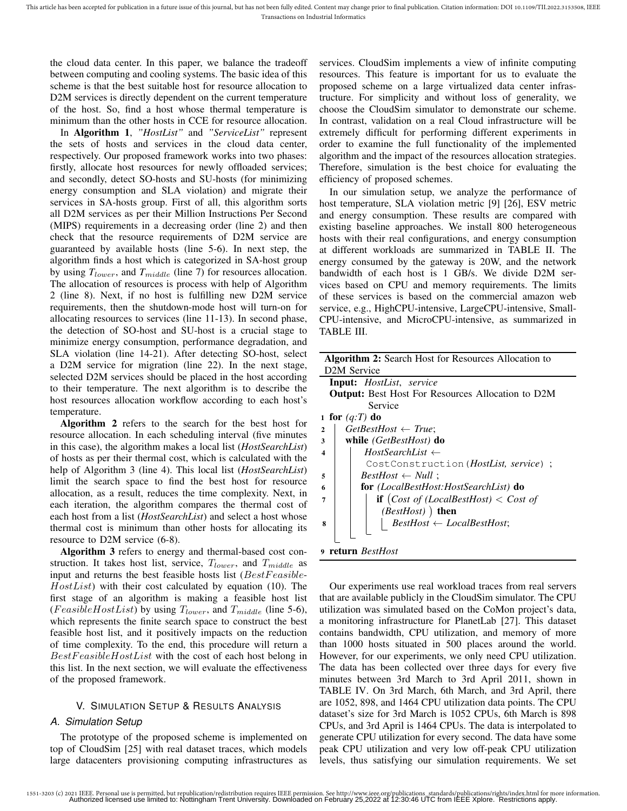the cloud data center. In this paper, we balance the tradeoff between computing and cooling systems. The basic idea of this scheme is that the best suitable host for resource allocation to D<sub>2</sub>M services is directly dependent on the current temperature of the host. So, find a host whose thermal temperature is minimum than the other hosts in CCE for resource allocation.

In Algorithm 1, *"HostList"* and *"ServiceList"* represent the sets of hosts and services in the cloud data center, respectively. Our proposed framework works into two phases: firstly, allocate host resources for newly offloaded services; and secondly, detect SO-hosts and SU-hosts (for minimizing energy consumption and SLA violation) and migrate their services in SA-hosts group. First of all, this algorithm sorts all D2M services as per their Million Instructions Per Second (MIPS) requirements in a decreasing order (line 2) and then check that the resource requirements of D2M service are guaranteed by available hosts (line 5-6). In next step, the algorithm finds a host which is categorized in SA-host group by using  $T_{lower}$ , and  $T_{middle}$  (line 7) for resources allocation. The allocation of resources is process with help of Algorithm 2 (line 8). Next, if no host is fulfilling new D2M service requirements, then the shutdown-mode host will turn-on for allocating resources to services (line 11-13). In second phase, the detection of SO-host and SU-host is a crucial stage to minimize energy consumption, performance degradation, and SLA violation (line 14-21). After detecting SO-host, select a D2M service for migration (line 22). In the next stage, selected D2M services should be placed in the host according to their temperature. The next algorithm is to describe the host resources allocation workflow according to each host's temperature.

Algorithm 2 refers to the search for the best host for resource allocation. In each scheduling interval (five minutes in this case), the algorithm makes a local list (*HostSearchList*) of hosts as per their thermal cost, which is calculated with the help of Algorithm 3 (line 4). This local list (*HostSearchList*) limit the search space to find the best host for resource allocation, as a result, reduces the time complexity. Next, in each iteration, the algorithm compares the thermal cost of each host from a list (*HostSearchList*) and select a host whose thermal cost is minimum than other hosts for allocating its resource to D2M service (6-8).

Algorithm 3 refers to energy and thermal-based cost construction. It takes host list, service,  $T_{lower}$ , and  $T_{middle}$  as input and returns the best feasible hosts list  $(BestFeasible HostList$ ) with their cost calculated by equation (10). The first stage of an algorithm is making a feasible host list (*FeasibleHostList*) by using  $T_{lower}$ , and  $T_{middle}$  (line 5-6), which represents the finite search space to construct the best feasible host list, and it positively impacts on the reduction of time complexity. To the end, this procedure will return a BestFeasibleHostList with the cost of each host belong in this list. In the next section, we will evaluate the effectiveness of the proposed framework.

## V. SIMULATION SETUP & RESULTS ANALYSIS

## *A. Simulation Setup*

The prototype of the proposed scheme is implemented on top of CloudSim [25] with real dataset traces, which models large datacenters provisioning computing infrastructures as

services. CloudSim implements a view of infinite computing resources. This feature is important for us to evaluate the proposed scheme on a large virtualized data center infrastructure. For simplicity and without loss of generality, we choose the CloudSim simulator to demonstrate our scheme. In contrast, validation on a real Cloud infrastructure will be extremely difficult for performing different experiments in order to examine the full functionality of the implemented algorithm and the impact of the resources allocation strategies. Therefore, simulation is the best choice for evaluating the efficiency of proposed schemes.

In our simulation setup, we analyze the performance of host temperature, SLA violation metric [9] [26], ESV metric and energy consumption. These results are compared with existing baseline approaches. We install 800 heterogeneous hosts with their real configurations, and energy consumption at different workloads are summarized in TABLE II. The energy consumed by the gateway is 20W, and the network bandwidth of each host is 1 GB/s. We divide D2M services based on CPU and memory requirements. The limits of these services is based on the commercial amazon web service, e.g., HighCPU-intensive, LargeCPU-intensive, Small-CPU-intensive, and MicroCPU-intensive, as summarized in TABLE III.

| Algorithm 2: Search Host for Resources Allocation to                  |
|-----------------------------------------------------------------------|
| D <sub>2</sub> M Service                                              |
|                                                                       |
| <b>Input:</b> HostList, service                                       |
| <b>Output:</b> Best Host For Resources Allocation to D2M              |
| Service                                                               |
| 1 for $(q:T)$ do                                                      |
| $GetBestHost \leftarrow True;$<br>$\overline{2}$                      |
| while (GetBestHost) do<br>3                                           |
| $HostSearchList \leftarrow$<br>$\overline{\mathbf{4}}$                |
| CostConstruction ( <i>HostList, service</i> ) ;                       |
| $BestHost \leftarrow Null$ :<br>5                                     |
| for (LocalBestHost:HostSearchList) do<br>6                            |
| <b>if</b> $(Cost \text{ of } (LocalBestHost) < Cost \text{ of }$<br>7 |
| $(BestHost)$ ) then                                                   |
| $BestHost \leftarrow LocalBestHost;$<br>8                             |
|                                                                       |
| return BestHost                                                       |

Our experiments use real workload traces from real servers that are available publicly in the CloudSim simulator. The CPU utilization was simulated based on the CoMon project's data, a monitoring infrastructure for PlanetLab [27]. This dataset contains bandwidth, CPU utilization, and memory of more than 1000 hosts situated in 500 places around the world. However, for our experiments, we only need CPU utilization. The data has been collected over three days for every five minutes between 3rd March to 3rd April 2011, shown in TABLE IV. On 3rd March, 6th March, and 3rd April, there are 1052, 898, and 1464 CPU utilization data points. The CPU dataset's size for 3rd March is 1052 CPUs, 6th March is 898 CPUs, and 3rd April is 1464 CPUs. The data is interpolated to generate CPU utilization for every second. The data have some peak CPU utilization and very low off-peak CPU utilization levels, thus satisfying our simulation requirements. We set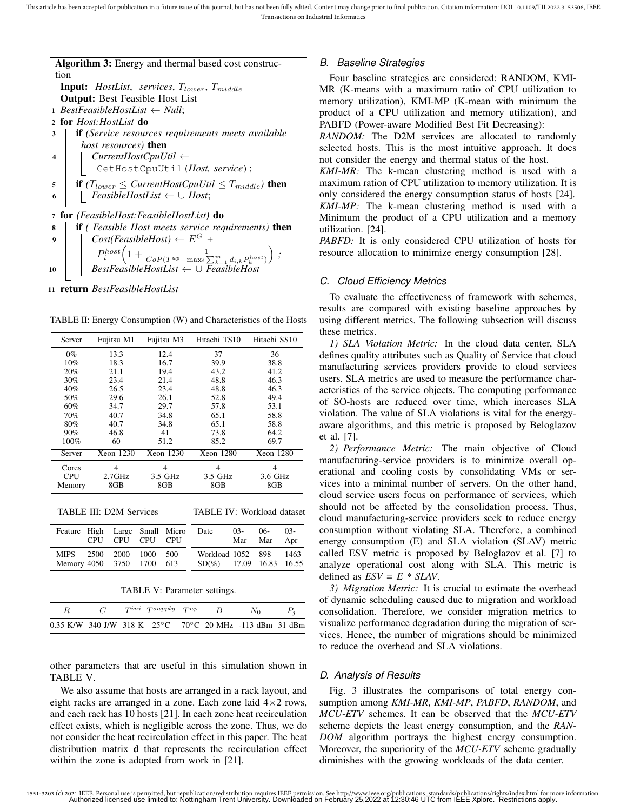Algorithm 3: Energy and thermal based cost construc-

tion **Input:** *HostList*, *services*, *T*<sub>lower</sub>, *T*<sub>middle</sub> Output: Best Feasible Host List *BestFeasibleHostList* ← *Null*; for *Host:HostList* do if *(Service resources requirements meets available host resources)* then *CurrentHostCpuUtil* ← GetHostCpuUtil(*Host, service*);  $\int$  **if**  $(T_{lower} \leq CurrentHostCpuUtil \leq T_{middle})$  then *FeasibleHostList* ← ∪ *Host*; for *(FeasibleHost:FeasibleHostList)* do if *( Feasible Host meets service requirements)* then  $|$   $Cost(FeasibleHost) \leftarrow E^G +$  $P_i^{host}\left(1+\frac{1}{CoP(T^{up}-\max_i\sum_{k=1}^m d_{i,k}P_k^{host})}\right);$ *BestFeasibleHostList* ← ∪ *FeasibleHost*

<sup>11</sup> return *BestFeasibleHostList*

TABLE II: Energy Consumption (W) and Characteristics of the Hosts

| Server | Fujitsu M1 | Fujitsu M3 | Hitachi TS10 | Hitachi SS10 |  |
|--------|------------|------------|--------------|--------------|--|
| $0\%$  | 13.3       | 12.4       | 37           | 36           |  |
| 10%    | 18.3       | 16.7       | 39.9         | 38.8         |  |
| 20%    | 21.1       | 19.4       | 43.2         | 41.2         |  |
| 30%    | 23.4       | 21.4       | 48.8         | 46.3         |  |
| 40%    | 26.5       | 23.4       | 48.8         | 46.3         |  |
| 50%    | 29.6       | 26.1       | 52.8         | 49.4         |  |
| 60%    | 34.7       | 29.7       | 57.8         | 53.1         |  |
| 70%    | 40.7       | 34.8       | 65.1         | 58.8         |  |
| 80%    | 40.7       | 34.8       | 65.1         | 58.8         |  |
| 90%    | 46.8       | 41         | 73.8         | 64.2         |  |
| 100%   | 60         | 51.2       | 85.2         | 69.7         |  |
| Server | Xeon 1230  | Xeon 1230  | Xeon 1280    | Xeon 1280    |  |
| Cores  | 4          | 4          | 4            | 4            |  |
| CPU    | $2.7$ GHz  | 3.5 GHz    | 3.5 GHz      | 3.6 GHz      |  |
| Memory | 8GB        | 8GB        | 8GB          | 8GB          |  |

TABLE IV: Workload dataset

| Feature High Large Small Micro                       | CPU CPU CPU CPU |  | Date                                                 | $03-$ | 06-<br>Mar Mar Apr | 03- |
|------------------------------------------------------|-----------------|--|------------------------------------------------------|-------|--------------------|-----|
| MIPS 2500 2000 1000 500<br>Memory 4050 3750 1700 613 |                 |  | Workload 1052 898 1463<br>$SD(\%)$ 17.09 16.83 16.55 |       |                    |     |

TABLE V: Parameter settings.

|  | $T^{ini}$ $T^{supply}$ $T^{up}$ | $\overline{B}$ | $N_{\Omega}$                                            |  |
|--|---------------------------------|----------------|---------------------------------------------------------|--|
|  |                                 |                | 0.35 K/W 340 J/W 318 K 25°C 70°C 20 MHz -113 dBm 31 dBm |  |

other parameters that are useful in this simulation shown in TABLE V.

We also assume that hosts are arranged in a rack layout, and eight racks are arranged in a zone. Each zone laid  $4\times 2$  rows, and each rack has 10 hosts [21]. In each zone heat recirculation effect exists, which is negligible across the zone. Thus, we do not consider the heat recirculation effect in this paper. The heat distribution matrix **d** that represents the recirculation effect within the zone is adopted from work in [21].

# *B. Baseline Strategies*

Four baseline strategies are considered: RANDOM, KMI-MR (K-means with a maximum ratio of CPU utilization to memory utilization), KMI-MP (K-mean with minimum the product of a CPU utilization and memory utilization), and PABFD (Power-aware Modified Best Fit Decreasing):

*RANDOM:* The D2M services are allocated to randomly selected hosts. This is the most intuitive approach. It does not consider the energy and thermal status of the host.

*KMI-MR:* The k-mean clustering method is used with a maximum ration of CPU utilization to memory utilization. It is only considered the energy consumption status of hosts [24]. *KMI-MP:* The k-mean clustering method is used with a Minimum the product of a CPU utilization and a memory utilization. [24].

*PABFD:* It is only considered CPU utilization of hosts for resource allocation to minimize energy consumption [28].

# *C. Cloud Efficiency Metrics*

To evaluate the effectiveness of framework with schemes, results are compared with existing baseline approaches by using different metrics. The following subsection will discuss these metrics.

*1) SLA Violation Metric:* In the cloud data center, SLA defines quality attributes such as Quality of Service that cloud manufacturing services providers provide to cloud services users. SLA metrics are used to measure the performance characteristics of the service objects. The computing performance of SO-hosts are reduced over time, which increases SLA violation. The value of SLA violations is vital for the energyaware algorithms, and this metric is proposed by Beloglazov et al. [7].

*2) Performance Metric:* The main objective of Cloud manufacturing-service providers is to minimize overall operational and cooling costs by consolidating VMs or services into a minimal number of servers. On the other hand, cloud service users focus on performance of services, which should not be affected by the consolidation process. Thus, cloud manufacturing-service providers seek to reduce energy consumption without violating SLA. Therefore, a combined energy consumption (E) and SLA violation (SLAV) metric called ESV metric is proposed by Beloglazov et al. [7] to analyze operational cost along with SLA. This metric is defined as  $ESV = E * SLAV$ .

*3) Migration Metric:* It is crucial to estimate the overhead of dynamic scheduling caused due to migration and workload consolidation. Therefore, we consider migration metrics to visualize performance degradation during the migration of services. Hence, the number of migrations should be minimized to reduce the overhead and SLA violations.

## *D. Analysis of Results*

Fig. 3 illustrates the comparisons of total energy consumption among *KMI-MR*, *KMI-MP*, *PABFD*, *RANDOM*, and *MCU-ETV* schemes. It can be observed that the *MCU-ETV* scheme depicts the least energy consumption, and the *RAN-DOM* algorithm portrays the highest energy consumption. Moreover, the superiority of the *MCU-ETV* scheme gradually diminishes with the growing workloads of the data center.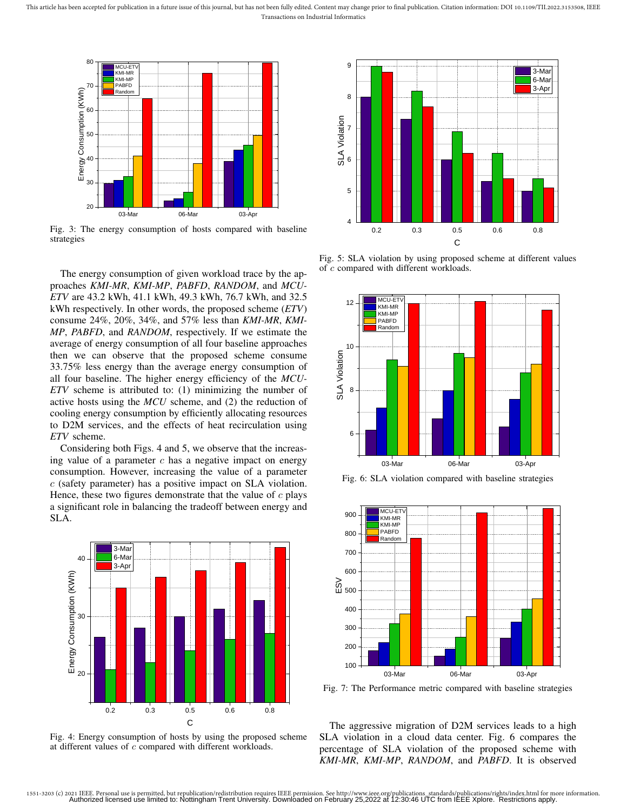This article has been accepted for publication in a future issue of this journal, but has not been fully edited. Content may change prior to final publication. Citation information: DOI 10.1109/TII.2022.3153508, IEEE Transactions on Industrial Informatics



Fig. 3: The energy consumption of hosts compared with baseline strategies

The energy consumption of given workload trace by the approaches *KMI-MR*, *KMI-MP*, *PABFD*, *RANDOM*, and *MCU-ETV* are 43.2 kWh, 41.1 kWh, 49.3 kWh, 76.7 kWh, and 32.5 kWh respectively. In other words, the proposed scheme (*ETV*) consume 24%, 20%, 34%, and 57% less than *KMI-MR*, *KMI-MP*, *PABFD*, and *RANDOM*, respectively. If we estimate the average of energy consumption of all four baseline approaches then we can observe that the proposed scheme consume 33.75% less energy than the average energy consumption of all four baseline. The higher energy efficiency of the *MCU-ETV* scheme is attributed to: (1) minimizing the number of active hosts using the *MCU* scheme, and (2) the reduction of cooling energy consumption by efficiently allocating resources to D2M services, and the effects of heat recirculation using *ETV* scheme.

Considering both Figs. 4 and 5, we observe that the increasing value of a parameter  $c$  has a negative impact on energy consumption. However, increasing the value of a parameter c (safety parameter) has a positive impact on SLA violation. Hence, these two figures demonstrate that the value of  $c$  plays a significant role in balancing the tradeoff between energy and SLA.



Fig. 4: Energy consumption of hosts by using the proposed scheme at different values of c compared with different workloads.



Fig. 5: SLA violation by using proposed scheme at different values of c compared with different workloads.



Fig. 6: SLA violation compared with baseline strategies



Fig. 7: The Performance metric compared with baseline strategies

The aggressive migration of D2M services leads to a high SLA violation in a cloud data center. Fig. 6 compares the percentage of SLA violation of the proposed scheme with *KMI-MR*, *KMI-MP*, *RANDOM*, and *PABFD*. It is observed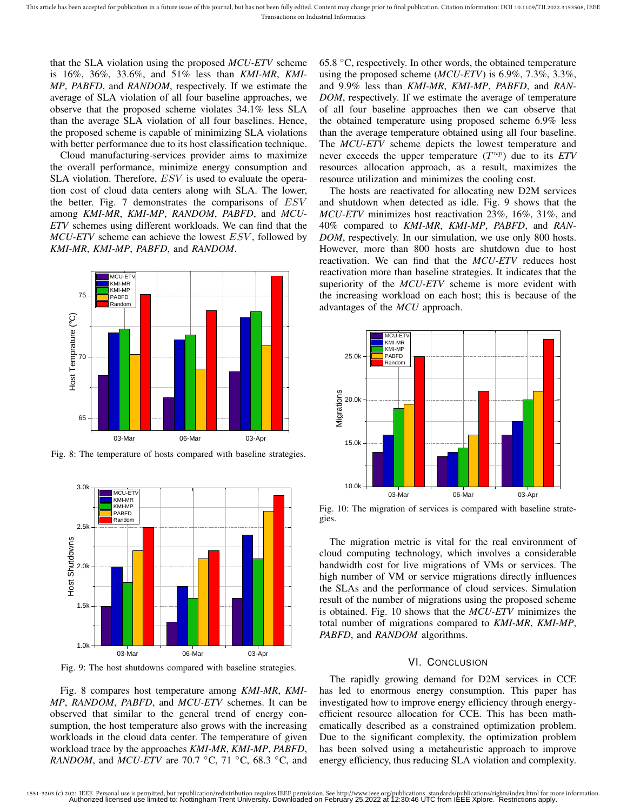that the SLA violation using the proposed *MCU-ETV* scheme is 16%, 36%, 33.6%, and 51% less than *KMI-MR*, *KMI-MP*, *PABFD*, and *RANDOM*, respectively. If we estimate the average of SLA violation of all four baseline approaches, we observe that the proposed scheme violates 34.1% less SLA than the average SLA violation of all four baselines. Hence, the proposed scheme is capable of minimizing SLA violations with better performance due to its host classification technique.

Cloud manufacturing-services provider aims to maximize the overall performance, minimize energy consumption and SLA violation. Therefore,  $ESV$  is used to evaluate the operation cost of cloud data centers along with SLA. The lower, the better. Fig. 7 demonstrates the comparisons of ESV among *KMI-MR*, *KMI-MP*, *RANDOM*, *PABFD*, and *MCU-ETV* schemes using different workloads. We can find that the *MCU-ETV* scheme can achieve the lowest *ESV*, followed by *KMI-MR*, *KMI-MP*, *PABFD*, and *RANDOM*.



Fig. 8: The temperature of hosts compared with baseline strategies.



Fig. 9: The host shutdowns compared with baseline strategies.

Fig. 8 compares host temperature among *KMI-MR*, *KMI-MP*, *RANDOM*, *PABFD*, and *MCU-ETV* schemes. It can be observed that similar to the general trend of energy consumption, the host temperature also grows with the increasing workloads in the cloud data center. The temperature of given workload trace by the approaches *KMI-MR*, *KMI-MP*, *PABFD*, *RANDOM*, and *MCU-ETV* are 70.7 °C, 71 °C, 68.3 °C, and 65.8 ◦C, respectively. In other words, the obtained temperature using the proposed scheme (*MCU-ETV*) is 6.9%, 7.3%, 3.3%, and 9.9% less than *KMI-MR*, *KMI-MP*, *PABFD*, and *RAN-DOM*, respectively. If we estimate the average of temperature of all four baseline approaches then we can observe that the obtained temperature using proposed scheme 6.9% less than the average temperature obtained using all four baseline. The *MCU-ETV* scheme depicts the lowest temperature and never exceeds the upper temperature  $(T^{up})$  due to its  $ETV$ resources allocation approach, as a result, maximizes the resource utilization and minimizes the cooling cost.

The hosts are reactivated for allocating new D2M services and shutdown when detected as idle. Fig. 9 shows that the *MCU-ETV* minimizes host reactivation 23%, 16%, 31%, and 40% compared to *KMI-MR*, *KMI-MP*, *PABFD*, and *RAN-DOM*, respectively. In our simulation, we use only 800 hosts. However, more than 800 hosts are shutdown due to host reactivation. We can find that the *MCU-ETV* reduces host reactivation more than baseline strategies. It indicates that the superiority of the *MCU-ETV* scheme is more evident with the increasing workload on each host; this is because of the advantages of the *MCU* approach.



Fig. 10: The migration of services is compared with baseline strategies.

The migration metric is vital for the real environment of cloud computing technology, which involves a considerable bandwidth cost for live migrations of VMs or services. The high number of VM or service migrations directly influences the SLAs and the performance of cloud services. Simulation result of the number of migrations using the proposed scheme is obtained. Fig. 10 shows that the *MCU-ETV* minimizes the total number of migrations compared to *KMI-MR*, *KMI-MP*, *PABFD*, and *RANDOM* algorithms.

#### VI. CONCLUSION

The rapidly growing demand for D2M services in CCE has led to enormous energy consumption. This paper has investigated how to improve energy efficiency through energyefficient resource allocation for CCE. This has been mathematically described as a constrained optimization problem. Due to the significant complexity, the optimization problem has been solved using a metaheuristic approach to improve energy efficiency, thus reducing SLA violation and complexity.